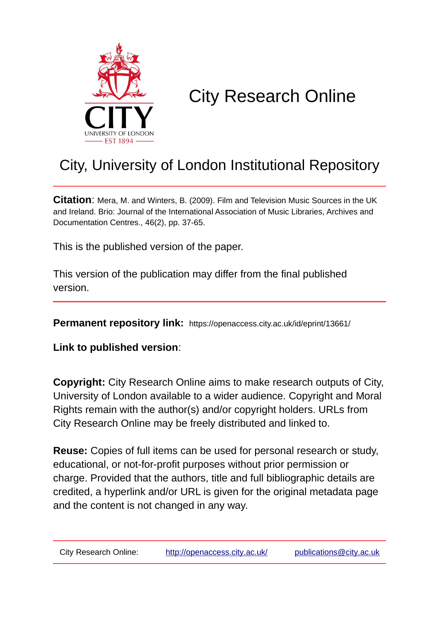

# City Research Online

## City, University of London Institutional Repository

**Citation**: Mera, M. and Winters, B. (2009). Film and Television Music Sources in the UK and Ireland. Brio: Journal of the International Association of Music Libraries, Archives and Documentation Centres., 46(2), pp. 37-65.

This is the published version of the paper.

This version of the publication may differ from the final published version.

**Permanent repository link:** https://openaccess.city.ac.uk/id/eprint/13661/

**Link to published version**:

**Copyright:** City Research Online aims to make research outputs of City, University of London available to a wider audience. Copyright and Moral Rights remain with the author(s) and/or copyright holders. URLs from City Research Online may be freely distributed and linked to.

**Reuse:** Copies of full items can be used for personal research or study, educational, or not-for-profit purposes without prior permission or charge. Provided that the authors, title and full bibliographic details are credited, a hyperlink and/or URL is given for the original metadata page and the content is not changed in any way.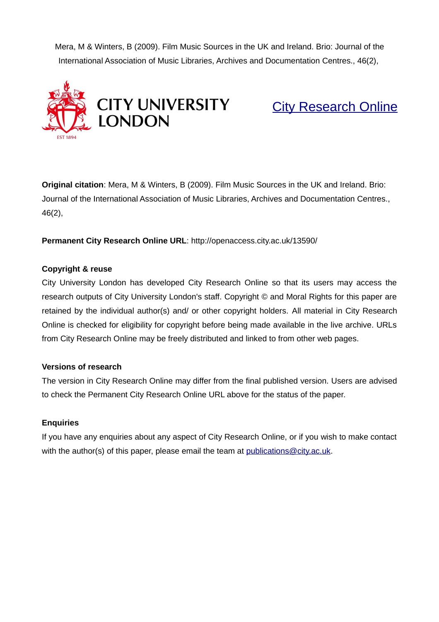Mera, M & Winters, B (2009). Film Music Sources in the UK and Ireland. Brio: Journal of the International Association of Music Libraries, Archives and Documentation Centres., 46(2),



[City Research Online](http://openaccess.city.ac.uk/)

**Original citation**: Mera, M & Winters, B (2009). Film Music Sources in the UK and Ireland. Brio: Journal of the International Association of Music Libraries, Archives and Documentation Centres., 46(2),

**Permanent City Research Online URL**: http://openaccess.city.ac.uk/13590/

## **Copyright & reuse**

City University London has developed City Research Online so that its users may access the research outputs of City University London's staff. Copyright © and Moral Rights for this paper are retained by the individual author(s) and/ or other copyright holders. All material in City Research Online is checked for eligibility for copyright before being made available in the live archive. URLs from City Research Online may be freely distributed and linked to from other web pages.

## **Versions of research**

The version in City Research Online may differ from the final published version. Users are advised to check the Permanent City Research Online URL above for the status of the paper.

## **Enquiries**

If you have any enquiries about any aspect of City Research Online, or if you wish to make contact with the author(s) of this paper, please email the team at [publications@city.ac.uk.](mailto:publications@city.ac.uk)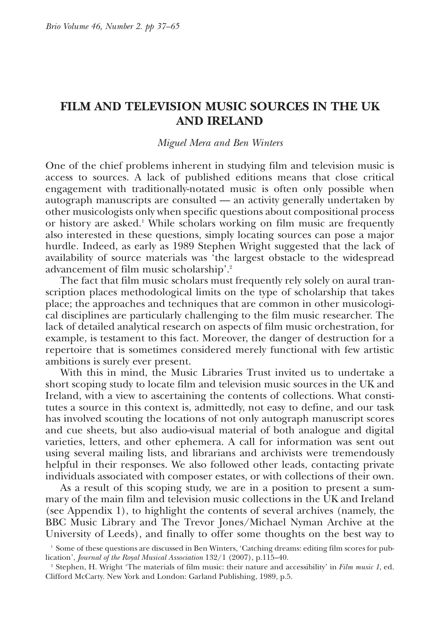## **FILM AND TELEVISION MUSIC SOURCES IN THE UK AND IRELAND**

#### *Miguel Mera and Ben Winters*

One of the chief problems inherent in studying film and television music is access to sources. A lack of published editions means that close critical engagement with traditionally-notated music is often only possible when autograph manuscripts are consulted — an activity generally undertaken by other musicologists only when specific questions about compositional process or history are asked.<sup>1</sup> While scholars working on film music are frequently also interested in these questions, simply locating sources can pose a major hurdle. Indeed, as early as 1989 Stephen Wright suggested that the lack of availability of source materials was 'the largest obstacle to the widespread advancement of film music scholarship'.<sup>2</sup>

The fact that film music scholars must frequently rely solely on aural transcription places methodological limits on the type of scholarship that takes place; the approaches and techniques that are common in other musicological disciplines are particularly challenging to the film music researcher. The lack of detailed analytical research on aspects of film music orchestration, for example, is testament to this fact. Moreover, the danger of destruction for a repertoire that is sometimes considered merely functional with few artistic ambitions is surely ever present.

With this in mind, the Music Libraries Trust invited us to undertake a short scoping study to locate film and television music sources in the UK and Ireland, with a view to ascertaining the contents of collections. What constitutes a source in this context is, admittedly, not easy to define, and our task has involved scouting the locations of not only autograph manuscript scores and cue sheets, but also audio-visual material of both analogue and digital varieties, letters, and other ephemera. A call for information was sent out using several mailing lists, and librarians and archivists were tremendously helpful in their responses. We also followed other leads, contacting private individuals associated with composer estates, or with collections of their own.

As a result of this scoping study, we are in a position to present a summary of the main film and television music collections in the UK and Ireland (see Appendix 1), to highlight the contents of several archives (namely, the BBC Music Library and The Trevor Jones/Michael Nyman Archive at the University of Leeds), and finally to offer some thoughts on the best way to

<sup>1</sup> Some of these questions are discussed in Ben Winters, 'Catching dreams: editing film scores for publication', *Journal of the Royal Musical Association* 132/1 (2007), p.115–40.

<sup>2</sup> Stephen, H. Wright 'The materials of film music: their nature and accessibility' in *Film music 1*, ed. Clifford McCarty. New York and London: Garland Publishing, 1989, p.5.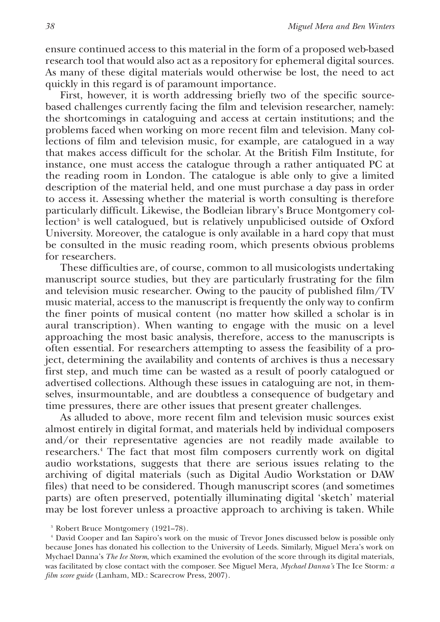ensure continued access to this material in the form of a proposed web-based research tool that would also act as a repository for ephemeral digital sources. As many of these digital materials would otherwise be lost, the need to act quickly in this regard is of paramount importance.

First, however, it is worth addressing briefly two of the specific sourcebased challenges currently facing the film and television researcher, namely: the shortcomings in cataloguing and access at certain institutions; and the problems faced when working on more recent film and television. Many collections of film and television music, for example, are catalogued in a way that makes access difficult for the scholar. At the British Film Institute, for instance, one must access the catalogue through a rather antiquated PC at the reading room in London. The catalogue is able only to give a limited description of the material held, and one must purchase a day pass in order to access it. Assessing whether the material is worth consulting is therefore particularly difficult. Likewise, the Bodleian library's Bruce Montgomery collection<sup>3</sup> is well catalogued, but is relatively unpublicised outside of Oxford University. Moreover, the catalogue is only available in a hard copy that must be consulted in the music reading room, which presents obvious problems for researchers.

These difficulties are, of course, common to all musicologists undertaking manuscript source studies, but they are particularly frustrating for the film and television music researcher. Owing to the paucity of published film/TV music material, access to the manuscript is frequently the only way to confirm the finer points of musical content (no matter how skilled a scholar is in aural transcription). When wanting to engage with the music on a level approaching the most basic analysis, therefore, access to the manuscripts is often essential. For researchers attempting to assess the feasibility of a project, determining the availability and contents of archives is thus a necessary first step, and much time can be wasted as a result of poorly catalogued or advertised collections. Although these issues in cataloguing are not, in themselves, insurmountable, and are doubtless a consequence of budgetary and time pressures, there are other issues that present greater challenges.

As alluded to above, more recent film and television music sources exist almost entirely in digital format, and materials held by individual composers and/or their representative agencies are not readily made available to researchers.<sup>4</sup> The fact that most film composers currently work on digital audio workstations, suggests that there are serious issues relating to the archiving of digital materials (such as Digital Audio Workstation or DAW files) that need to be considered. Though manuscript scores (and sometimes parts) are often preserved, potentially illuminating digital 'sketch' material may be lost forever unless a proactive approach to archiving is taken. While

<sup>3</sup> Robert Bruce Montgomery (1921–78).

<sup>4</sup> David Cooper and Ian Sapiro's work on the music of Trevor Jones discussed below is possible only because Jones has donated his collection to the University of Leeds. Similarly, Miguel Mera's work on Mychael Danna's *The Ice Storm*, which examined the evolution of the score through its digital materials, was facilitated by close contact with the composer. See Miguel Mera, *Mychael Danna's* The Ice Storm*: a film score guide* (Lanham, MD.: Scarecrow Press, 2007).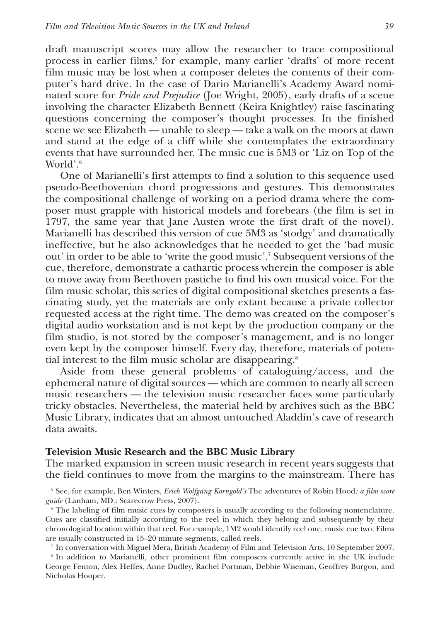draft manuscript scores may allow the researcher to trace compositional process in earlier films,<sup>5</sup> for example, many earlier 'drafts' of more recent film music may be lost when a composer deletes the contents of their computer's hard drive. In the case of Dario Marianelli's Academy Award nominated score for *Pride and Prejudice* (Joe Wright, 2005), early drafts of a scene involving the character Elizabeth Bennett (Keira Knightley) raise fascinating questions concerning the composer's thought processes. In the finished scene we see Elizabeth — unable to sleep — take a walk on the moors at dawn and stand at the edge of a cliff while she contemplates the extraordinary events that have surrounded her. The music cue is 5M3 or 'Liz on Top of the World'.<sup>6</sup>

One of Marianelli's first attempts to find a solution to this sequence used pseudo-Beethovenian chord progressions and gestures. This demonstrates the compositional challenge of working on a period drama where the composer must grapple with historical models and forebears (the film is set in 1797, the same year that Jane Austen wrote the first draft of the novel). Marianelli has described this version of cue 5M3 as 'stodgy' and dramatically ineffective, but he also acknowledges that he needed to get the 'bad music out' in order to be able to 'write the good music'.<sup>7</sup> Subsequent versions of the cue, therefore, demonstrate a cathartic process wherein the composer is able to move away from Beethoven pastiche to find his own musical voice. For the film music scholar, this series of digital compositional sketches presents a fascinating study, yet the materials are only extant because a private collector requested access at the right time. The demo was created on the composer's digital audio workstation and is not kept by the production company or the film studio, is not stored by the composer's management, and is no longer even kept by the composer himself. Every day, therefore, materials of potential interest to the film music scholar are disappearing.<sup>8</sup>

Aside from these general problems of cataloguing/access, and the ephemeral nature of digital sources — which are common to nearly all screen music researchers — the television music researcher faces some particularly tricky obstacles. Nevertheless, the material held by archives such as the BBC Music Library, indicates that an almost untouched Aladdin's cave of research data awaits.

#### **Television Music Research and the BBC Music Library**

The marked expansion in screen music research in recent years suggests that the field continues to move from the margins to the mainstream. There has

7 In conversation with Miguel Mera, British Academy of Film and Television Arts, 10 September 2007.

8 In addition to Marianelli, other prominent film composers currently active in the UK include George Fenton, Alex Heffes, Anne Dudley, Rachel Portman, Debbie Wiseman, Geoffrey Burgon, and Nicholas Hooper.

<sup>5</sup> See, for example, Ben Winters, *Erich Wolfgang Korngold's* The adventures of Robin Hood*: a film score guide* (Lanham, MD.: Scarecrow Press, 2007).

<sup>&</sup>lt;sup>6</sup> The labeling of film music cues by composers is usually according to the following nomenclature. Cues are classified initially according to the reel in which they belong and subsequently by their chronological location within that reel. For example, 1M2 would identify reel one, music cue two. Films are usually constructed in 15–20 minute segments, called reels.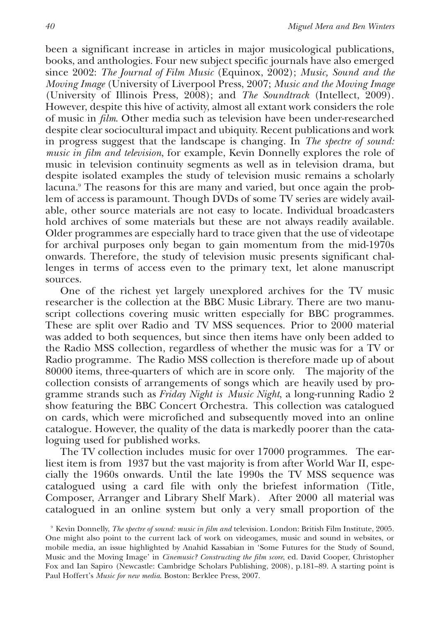been a significant increase in articles in major musicological publications, books, and anthologies. Four new subject specific journals have also emerged since 2002: *The Journal of Film Music* (Equinox, 2002); *Music, Sound and the Moving Image* (University of Liverpool Press, 2007; *Music and the Moving Image* (University of Illinois Press, 2008); and *The Soundtrack* (Intellect, 2009). However, despite this hive of activity, almost all extant work considers the role of music in *film*. Other media such as television have been under-researched despite clear sociocultural impact and ubiquity. Recent publications and work in progress suggest that the landscape is changing. In *The spectre of sound: music in film and television*, for example, Kevin Donnelly explores the role of music in television continuity segments as well as in television drama, but despite isolated examples the study of television music remains a scholarly lacuna.<sup>9</sup> The reasons for this are many and varied, but once again the problem of access is paramount. Though DVDs of some TV series are widely available, other source materials are not easy to locate. Individual broadcasters hold archives of some materials but these are not always readily available. Older programmes are especially hard to trace given that the use of videotape for archival purposes only began to gain momentum from the mid-1970s onwards. Therefore, the study of television music presents significant challenges in terms of access even to the primary text, let alone manuscript sources.

One of the richest yet largely unexplored archives for the TV music researcher is the collection at the BBC Music Library. There are two manuscript collections covering music written especially for BBC programmes. These are split over Radio and TV MSS sequences. Prior to 2000 material was added to both sequences, but since then items have only been added to the Radio MSS collection, regardless of whether the music was for a TV or Radio programme. The Radio MSS collection is therefore made up of about 80000 items, three-quarters of which are in score only. The majority of the collection consists of arrangements of songs which are heavily used by programme strands such as *Friday Night is Music Night*, a long-running Radio 2 show featuring the BBC Concert Orchestra. This collection was catalogued on cards, which were microfiched and subsequently moved into an online catalogue. However, the quality of the data is markedly poorer than the cataloguing used for published works.

The TV collection includes music for over 17000 programmes. The earliest item is from 1937 but the vast majority is from after World War II, especially the 1960s onwards. Until the late 1990s the TV MSS sequence was catalogued using a card file with only the briefest information (Title, Composer, Arranger and Library Shelf Mark). After 2000 all material was catalogued in an online system but only a very small proportion of the

<sup>9</sup> Kevin Donnelly, *The spectre of sound: music in film and* television. London: British Film Institute, 2005. One might also point to the current lack of work on videogames, music and sound in websites, or mobile media, an issue highlighted by Anahid Kassabian in 'Some Futures for the Study of Sound, Music and the Moving Image' in *Cinemusic? Constructing the film score*, ed. David Cooper, Christopher Fox and Ian Sapiro (Newcastle: Cambridge Scholars Publishing, 2008), p.181–89. A starting point is Paul Hoffert's *Music for new media*. Boston: Berklee Press, 2007.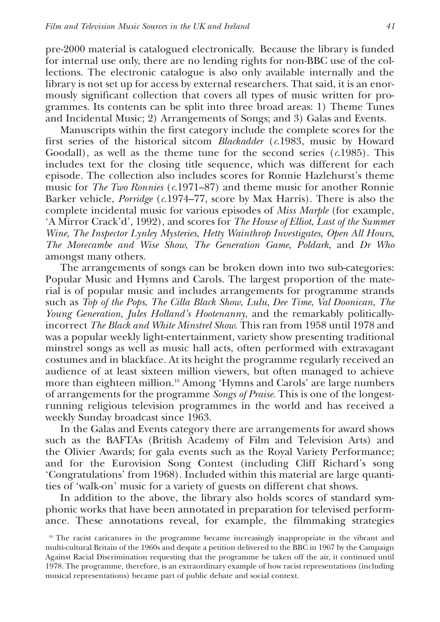pre-2000 material is catalogued electronically. Because the library is funded for internal use only, there are no lending rights for non-BBC use of the collections. The electronic catalogue is also only available internally and the library is not set up for access by external researchers. That said, it is an enormously significant collection that covers all types of music written for programmes. Its contents can be split into three broad areas: 1) Theme Tunes and Incidental Music; 2) Arrangements of Songs; and 3) Galas and Events.

Manuscripts within the first category include the complete scores for the first series of the historical sitcom *Blackadder* (*c*.1983, music by Howard Goodall), as well as the theme tune for the second series (*c*.1985). This includes text for the closing title sequence, which was different for each episode. The collection also includes scores for Ronnie Hazlehurst's theme music for *The Two Ronnies* (*c*.1971–87) and theme music for another Ronnie Barker vehicle, *Porridge* (*c*.1974–77, score by Max Harris). There is also the complete incidental music for various episodes of *Miss Marple* (for example, 'A Mirror Crack'd', 1992), and scores for *The House of Elliot*, *Last of the Summer Wine*, *The Inspector Lynley Mysteries*, *Hetty Wainthrop Investigates*, *Open All Hours*, *The Morecambe and Wise Show*, *The Generation Game*, *Poldark*, and *Dr Who* amongst many others.

The arrangements of songs can be broken down into two sub-categories: Popular Music and Hymns and Carols. The largest proportion of the material is of popular music and includes arrangements for programme strands such as *Top of the Pops*, *The Cilla Black Show*, *Lulu*, *Dee Time*, *Val Doonican*, *The Young Generation*, *Jules Holland's Hootenanny*, and the remarkably politicallyincorrect *The Black and White Minstrel Show*. This ran from 1958 until 1978 and was a popular weekly light-entertainment, variety show presenting traditional minstrel songs as well as music hall acts, often performed with extravagant costumes and in blackface. At its height the programme regularly received an audience of at least sixteen million viewers, but often managed to achieve more than eighteen million.<sup>10</sup> Among 'Hymns and Carols' are large numbers of arrangements for the programme *Songs of Praise*. This is one of the longestrunning religious television programmes in the world and has received a weekly Sunday broadcast since 1963.

In the Galas and Events category there are arrangements for award shows such as the BAFTAs (British Academy of Film and Television Arts) and the Olivier Awards; for gala events such as the Royal Variety Performance; and for the Eurovision Song Contest (including Cliff Richard's song 'Congratulations' from 1968). Included within this material are large quantities of 'walk-on' music for a variety of guests on different chat shows.

In addition to the above, the library also holds scores of standard symphonic works that have been annotated in preparation for televised performance. These annotations reveal, for example, the filmmaking strategies

<sup>&</sup>lt;sup>10</sup> The racist caricatures in the programme became increasingly inappropriate in the vibrant and multi-cultural Britain of the 1960s and despite a petition delivered to the BBC in 1967 by the Campaign Against Racial Discrimination requesting that the programme be taken off the air, it continued until 1978. The programme, therefore, is an extraordinary example of how racist representations (including musical representations) became part of public debate and social context.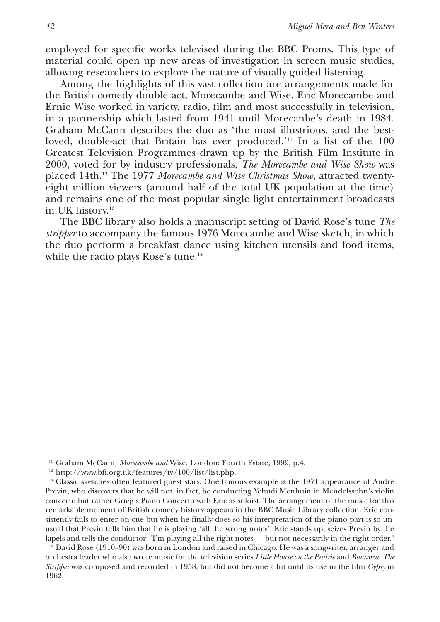employed for specific works televised during the BBC Proms. This type of material could open up new areas of investigation in screen music studies, allowing researchers to explore the nature of visually guided listening.

Among the highlights of this vast collection are arrangements made for the British comedy double act, Morecambe and Wise. Eric Morecambe and Ernie Wise worked in variety, radio, film and most successfully in television, in a partnership which lasted from 1941 until Morecanbe's death in 1984. Graham McCann describes the duo as 'the most illustrious, and the bestloved, double-act that Britain has ever produced.'<sup>11</sup> In a list of the 100 Greatest Television Programmes drawn up by the British Film Institute in 2000, voted for by industry professionals, *The Morecambe and Wise Show* was placed 14th.<sup>12</sup> The 1977 *Morecambe and Wise Christmas Show*, attracted twentyeight million viewers (around half of the total UK population at the time) and remains one of the most popular single light entertainment broadcasts in UK history.<sup>13</sup>

The BBC library also holds a manuscript setting of David Rose's tune *The stripper* to accompany the famous 1976 Morecambe and Wise sketch, in which the duo perform a breakfast dance using kitchen utensils and food items, while the radio plays Rose's tune.<sup>14</sup>

<sup>&</sup>lt;sup>11</sup> Graham McCann, *Morecambe and* Wise. London: Fourth Estate, 1999, p.4.

 $12 \text{ http://www.bfi.org.uk/features/tv/100/list/list.php.}$ 

<sup>&</sup>lt;sup>13</sup> Classic sketches often featured guest stars. One famous example is the 1971 appearance of André Previn, who discovers that he will not, in fact, be conducting Yehudi Menhuin in Mendelssohn's violin concerto but rather Grieg's Piano Concerto with Eric as soloist. The arrangement of the music for this remarkable moment of British comedy history appears in the BBC Music Library collection. Eric consistently fails to enter on cue but when he finally does so his interpretation of the piano part is so unusual that Previn tells him that he is playing 'all the wrong notes'. Eric stands up, seizes Previn by the lapels and tells the conductor: 'I'm playing all the right notes — but not necessarily in the right order.'

<sup>&</sup>lt;sup>14</sup> David Rose (1910–90) was born in London and raised in Chicago. He was a songwriter, arranger and orchestra leader who also wrote music for the television series *Little House on the Prairie* and *Bonanza*. *The Stripper* was composed and recorded in 1958, but did not become a hit until its use in the film *Gypsy* in 1962.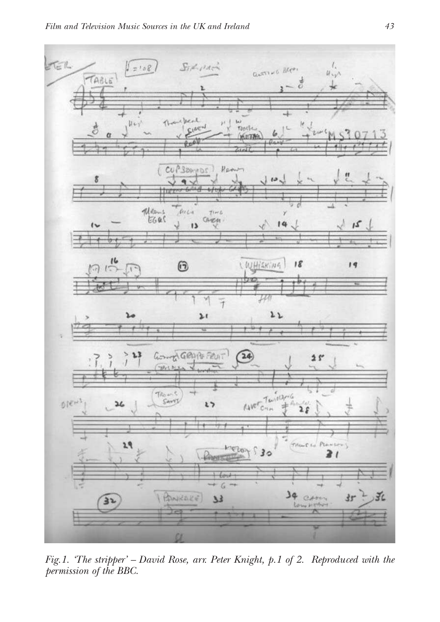

*Fig.1. 'The stripper' – David Rose, arr. Peter Knight, p.1 of 2. Reproduced with the permission of the BBC.*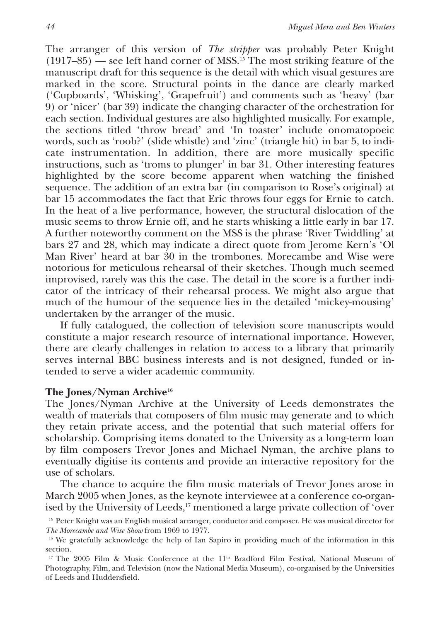The arranger of this version of *The stripper* was probably Peter Knight  $(1917-85)$  — see left hand corner of MSS.<sup>15</sup> The most striking feature of the manuscript draft for this sequence is the detail with which visual gestures are marked in the score. Structural points in the dance are clearly marked ('Cupboards', 'Whisking', 'Grapefruit') and comments such as 'heavy' (bar 9) or 'nicer' (bar 39) indicate the changing character of the orchestration for each section. Individual gestures are also highlighted musically. For example, the sections titled 'throw bread' and 'In toaster' include onomatopoeic words, such as 'roob?' (slide whistle) and 'zinc' (triangle hit) in bar 5, to indicate instrumentation. In addition, there are more musically specific instructions, such as 'troms to plunger' in bar 31. Other interesting features highlighted by the score become apparent when watching the finished sequence. The addition of an extra bar (in comparison to Rose's original) at bar 15 accommodates the fact that Eric throws four eggs for Ernie to catch. In the heat of a live performance, however, the structural dislocation of the music seems to throw Ernie off, and he starts whisking a little early in bar 17. A further noteworthy comment on the MSS is the phrase 'River Twiddling' at bars 27 and 28, which may indicate a direct quote from Jerome Kern's 'Ol Man River' heard at bar 30 in the trombones. Morecambe and Wise were notorious for meticulous rehearsal of their sketches. Though much seemed improvised, rarely was this the case. The detail in the score is a further indicator of the intricacy of their rehearsal process. We might also argue that much of the humour of the sequence lies in the detailed 'mickey-mousing' undertaken by the arranger of the music.

If fully catalogued, the collection of television score manuscripts would constitute a major research resource of international importance. However, there are clearly challenges in relation to access to a library that primarily serves internal BBC business interests and is not designed, funded or intended to serve a wider academic community.

#### **The Jones/Nyman Archive<sup>16</sup>**

The Jones/Nyman Archive at the University of Leeds demonstrates the wealth of materials that composers of film music may generate and to which they retain private access, and the potential that such material offers for scholarship. Comprising items donated to the University as a long-term loan by film composers Trevor Jones and Michael Nyman, the archive plans to eventually digitise its contents and provide an interactive repository for the use of scholars.

The chance to acquire the film music materials of Trevor Jones arose in March 2005 when Jones, as the keynote interviewee at a conference co-organised by the University of Leeds,<sup>17</sup> mentioned a large private collection of 'over

<sup>&</sup>lt;sup>15</sup> Peter Knight was an English musical arranger, conductor and composer. He was musical director for *The Morecambe and Wise Show* from 1969 to 1977.

<sup>&</sup>lt;sup>16</sup> We gratefully acknowledge the help of Ian Sapiro in providing much of the information in this section.

<sup>&</sup>lt;sup>17</sup> The 2005 Film & Music Conference at the 11<sup>th</sup> Bradford Film Festival, National Museum of Photography, Film, and Television (now the National Media Museum), co-organised by the Universities of Leeds and Huddersfield.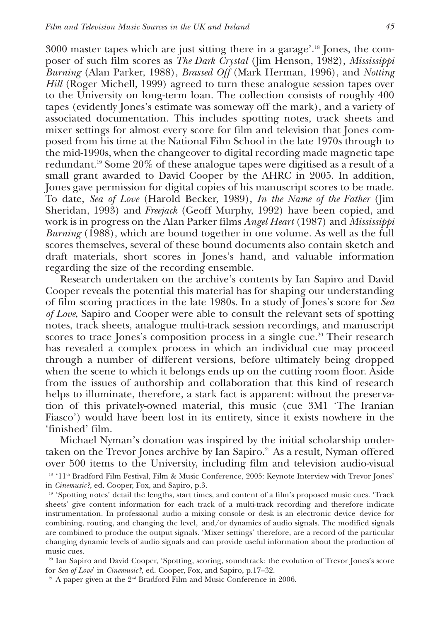3000 master tapes which are just sitting there in a garage'.<sup>18</sup> Jones, the composer of such film scores as *The Dark Crystal* (Jim Henson, 1982), *Mississippi Burning* (Alan Parker, 1988), *Brassed Off* (Mark Herman, 1996), and *Notting Hill* (Roger Michell, 1999) agreed to turn these analogue session tapes over to the University on long-term loan. The collection consists of roughly 400 tapes (evidently Jones's estimate was someway off the mark), and a variety of associated documentation. This includes spotting notes, track sheets and mixer settings for almost every score for film and television that Jones composed from his time at the National Film School in the late 1970s through to the mid-1990s, when the changeover to digital recording made magnetic tape redundant.<sup>19</sup> Some 20% of these analogue tapes were digitised as a result of a small grant awarded to David Cooper by the AHRC in 2005. In addition, Jones gave permission for digital copies of his manuscript scores to be made. To date, *Sea of Love* (Harold Becker, 1989), *In the Name of the Father* (Jim Sheridan, 1993) and *Freejack* (Geoff Murphy, 1992) have been copied, and work is in progress on the Alan Parker films *Angel Heart* (1987) and *Mississippi Burning* (1988), which are bound together in one volume. As well as the full scores themselves, several of these bound documents also contain sketch and draft materials, short scores in Jones's hand, and valuable information regarding the size of the recording ensemble.

Research undertaken on the archive's contents by Ian Sapiro and David Cooper reveals the potential this material has for shaping our understanding of film scoring practices in the late 1980s. In a study of Jones's score for *Sea of Love*, Sapiro and Cooper were able to consult the relevant sets of spotting notes, track sheets, analogue multi-track session recordings, and manuscript scores to trace Jones's composition process in a single cue.<sup>20</sup> Their research has revealed a complex process in which an individual cue may proceed through a number of different versions, before ultimately being dropped when the scene to which it belongs ends up on the cutting room floor. Aside from the issues of authorship and collaboration that this kind of research helps to illuminate, therefore, a stark fact is apparent: without the preservation of this privately-owned material, this music (cue 3M1 'The Iranian Fiasco') would have been lost in its entirety, since it exists nowhere in the 'finished' film.

Michael Nyman's donation was inspired by the initial scholarship undertaken on the Trevor Jones archive by Ian Sapiro.<sup>21</sup> As a result, Nyman offered over 500 items to the University, including film and television audio-visual 18 '11<sup>th</sup> Bradford Film Festival, Film & Music Conference, 2005: Keynote Interview with Trevor Jones' in *Cinemusic?*, ed. Cooper, Fox, and Sapiro, p.3.

<sup>19</sup> 'Spotting notes' detail the lengths, start times, and content of a film's proposed music cues. 'Track sheets' give content information for each track of a multi-track recording and therefore indicate instrumentation. In professional audio a mixing console or desk is an electronic device device for combining, routing, and changing the level, and/or dynamics of audio signals. The modified signals are combined to produce the output signals. 'Mixer settings' therefore, are a record of the particular changing dynamic levels of audio signals and can provide useful information about the production of music cues.

<sup>20</sup> Ian Sapiro and David Cooper, 'Spotting, scoring, soundtrack: the evolution of Trevor Jones's score for *Sea of Love*' in *Cinemusic?*, ed. Cooper, Fox, and Sapiro, p.17–32.

<sup>21</sup> A paper given at the 2<sup>nd</sup> Bradford Film and Music Conference in 2006.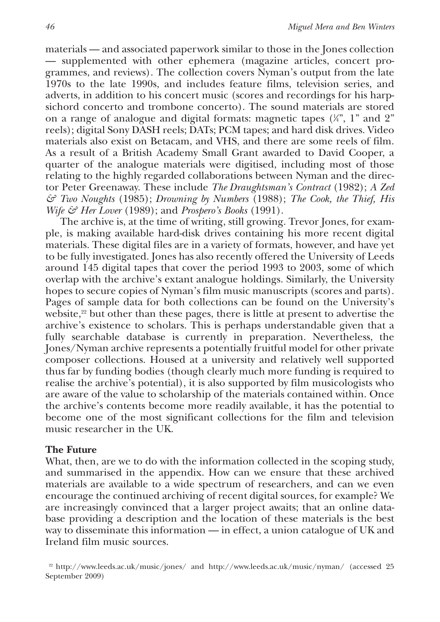materials — and associated paperwork similar to those in the Jones collection — supplemented with other ephemera (magazine articles, concert programmes, and reviews). The collection covers Nyman's output from the late 1970s to the late 1990s, and includes feature films, television series, and adverts, in addition to his concert music (scores and recordings for his harpsichord concerto and trombone concerto). The sound materials are stored on a range of analogue and digital formats: magnetic tapes  $(\nmid''_+, 1"$  and  $2"$ reels); digital Sony DASH reels; DATs; PCM tapes; and hard disk drives. Video materials also exist on Betacam, and VHS, and there are some reels of film. As a result of a British Academy Small Grant awarded to David Cooper, a quarter of the analogue materials were digitised, including most of those relating to the highly regarded collaborations between Nyman and the director Peter Greenaway. These include *The Draughtsman's Contract* (1982); *A Zed & Two Noughts* (1985); *Drowning by Numbers* (1988); *The Cook, the Thief, His Wife & Her Lover* (1989); and *Prospero's Books* (1991).

The archive is, at the time of writing, still growing. Trevor Jones, for example, is making available hard-disk drives containing his more recent digital materials. These digital files are in a variety of formats, however, and have yet to be fully investigated. Jones has also recently offered the University of Leeds around 145 digital tapes that cover the period 1993 to 2003, some of which overlap with the archive's extant analogue holdings. Similarly, the University hopes to secure copies of Nyman's film music manuscripts (scores and parts). Pages of sample data for both collections can be found on the University's website,<sup>22</sup> but other than these pages, there is little at present to advertise the archive's existence to scholars. This is perhaps understandable given that a fully searchable database is currently in preparation. Nevertheless, the Jones/Nyman archive represents a potentially fruitful model for other private composer collections. Housed at a university and relatively well supported thus far by funding bodies (though clearly much more funding is required to realise the archive's potential), it is also supported by film musicologists who are aware of the value to scholarship of the materials contained within. Once the archive's contents become more readily available, it has the potential to become one of the most significant collections for the film and television music researcher in the UK.

#### **The Future**

What, then, are we to do with the information collected in the scoping study, and summarised in the appendix. How can we ensure that these archived materials are available to a wide spectrum of researchers, and can we even encourage the continued archiving of recent digital sources, for example? We are increasingly convinced that a larger project awaits; that an online database providing a description and the location of these materials is the best way to disseminate this information — in effect, a union catalogue of UK and Ireland film music sources.

<sup>22</sup> http://www.leeds.ac.uk/music/jones/ and http://www.leeds.ac.uk/music/nyman/ (accessed 25 September 2009)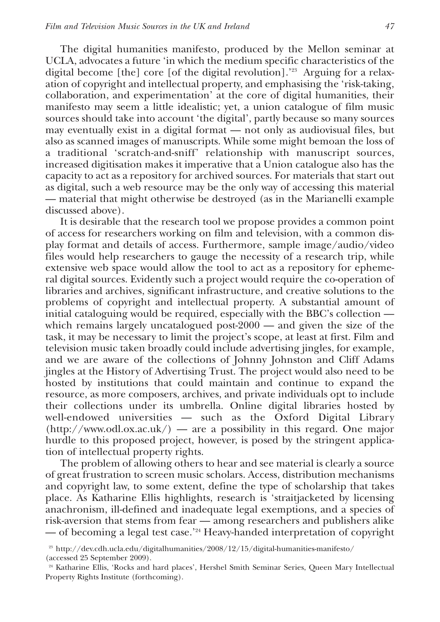The digital humanities manifesto, produced by the Mellon seminar at UCLA, advocates a future 'in which the medium specific characteristics of the digital become [the] core [of the digital revolution].'<sup>23</sup> Arguing for a relaxation of copyright and intellectual property, and emphasising the 'risk-taking, collaboration, and experimentation' at the core of digital humanities, their manifesto may seem a little idealistic; yet, a union catalogue of film music sources should take into account 'the digital', partly because so many sources may eventually exist in a digital format — not only as audiovisual files, but also as scanned images of manuscripts. While some might bemoan the loss of a traditional 'scratch-and-sniff' relationship with manuscript sources, increased digitisation makes it imperative that a Union catalogue also has the capacity to act as a repository for archived sources. For materials that start out as digital, such a web resource may be the only way of accessing this material — material that might otherwise be destroyed (as in the Marianelli example discussed above).

It is desirable that the research tool we propose provides a common point of access for researchers working on film and television, with a common display format and details of access. Furthermore, sample image/audio/video files would help researchers to gauge the necessity of a research trip, while extensive web space would allow the tool to act as a repository for ephemeral digital sources. Evidently such a project would require the co-operation of libraries and archives, significant infrastructure, and creative solutions to the problems of copyright and intellectual property. A substantial amount of initial cataloguing would be required, especially with the BBC's collection which remains largely uncatalogued post- $2000$  — and given the size of the task, it may be necessary to limit the project's scope, at least at first. Film and television music taken broadly could include advertising jingles, for example, and we are aware of the collections of Johnny Johnston and Cliff Adams jingles at the History of Advertising Trust. The project would also need to be hosted by institutions that could maintain and continue to expand the resource, as more composers, archives, and private individuals opt to include their collections under its umbrella. Online digital libraries hosted by well-endowed universities — such as the Oxford Digital Library (http://www.odl.ox.ac.uk/) — are a possibility in this regard. One major hurdle to this proposed project, however, is posed by the stringent application of intellectual property rights.

The problem of allowing others to hear and see material is clearly a source of great frustration to screen music scholars. Access, distribution mechanisms and copyright law, to some extent, define the type of scholarship that takes place. As Katharine Ellis highlights, research is 'straitjacketed by licensing anachronism, ill-defined and inadequate legal exemptions, and a species of risk-aversion that stems from fear — among researchers and publishers alike — of becoming a legal test case.'<sup>24</sup> Heavy-handed interpretation of copyright

<sup>23</sup> http://dev.cdh.ucla.edu/digitalhumanities/2008/12/15/digital-humanities-manifesto/

<sup>(</sup>accessed 25 September 2009).

<sup>&</sup>lt;sup>24</sup> Katharine Ellis, 'Rocks and hard places', Hershel Smith Seminar Series, Queen Mary Intellectual Property Rights Institute (forthcoming).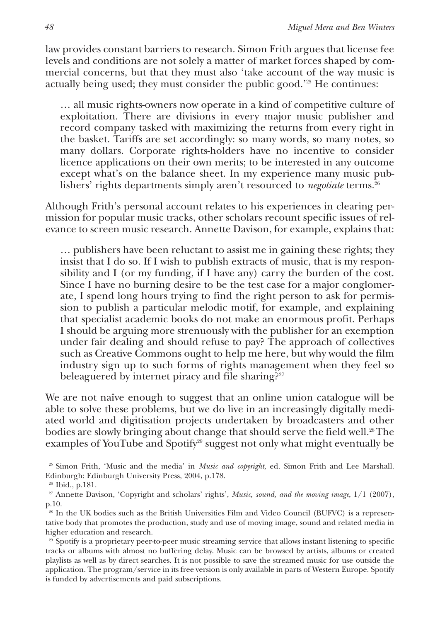law provides constant barriers to research. Simon Frith argues that license fee levels and conditions are not solely a matter of market forces shaped by commercial concerns, but that they must also 'take account of the way music is actually being used; they must consider the public good.'<sup>25</sup> He continues:

… all music rights-owners now operate in a kind of competitive culture of exploitation. There are divisions in every major music publisher and record company tasked with maximizing the returns from every right in the basket. Tariffs are set accordingly: so many words, so many notes, so many dollars. Corporate rights-holders have no incentive to consider licence applications on their own merits; to be interested in any outcome except what's on the balance sheet. In my experience many music publishers' rights departments simply aren't resourced to *negotiate* terms.<sup>26</sup>

Although Frith's personal account relates to his experiences in clearing permission for popular music tracks, other scholars recount specific issues of relevance to screen music research. Annette Davison, for example, explains that:

… publishers have been reluctant to assist me in gaining these rights; they insist that I do so. If I wish to publish extracts of music, that is my responsibility and I (or my funding, if I have any) carry the burden of the cost. Since I have no burning desire to be the test case for a major conglomerate, I spend long hours trying to find the right person to ask for permission to publish a particular melodic motif, for example, and explaining that specialist academic books do not make an enormous profit. Perhaps I should be arguing more strenuously with the publisher for an exemption under fair dealing and should refuse to pay? The approach of collectives such as Creative Commons ought to help me here, but why would the film industry sign up to such forms of rights management when they feel so beleaguered by internet piracy and file sharing?<sup>27</sup>

We are not naïve enough to suggest that an online union catalogue will be able to solve these problems, but we do live in an increasingly digitally mediated world and digitisation projects undertaken by broadcasters and other bodies are slowly bringing about change that should serve the field well.28 The examples of YouTube and Spotify<sup>29</sup> suggest not only what might eventually be

<sup>25</sup> Simon Frith, 'Music and the media' in *Music and copyright*, ed. Simon Frith and Lee Marshall. Edinburgh: Edinburgh University Press, 2004, p.178.

<sup>26</sup> Ibid., p.181.

<sup>27</sup> Annette Davison, 'Copyright and scholars' rights', *Music, sound, and the moving image*, 1/1 (2007), p.10.

<sup>&</sup>lt;sup>28</sup> In the UK bodies such as the British Universities Film and Video Council (BUFVC) is a representative body that promotes the production, study and use of moving image, sound and related media in higher education and research.

<sup>&</sup>lt;sup>29</sup> Spotify is a proprietary peer-to-peer music streaming service that allows instant listening to specific tracks or albums with almost no buffering delay. Music can be browsed by artists, albums or created playlists as well as by direct searches. It is not possible to save the streamed music for use outside the application. The program/service in its free version is only available in parts of Western Europe. Spotify is funded by advertisements and paid subscriptions.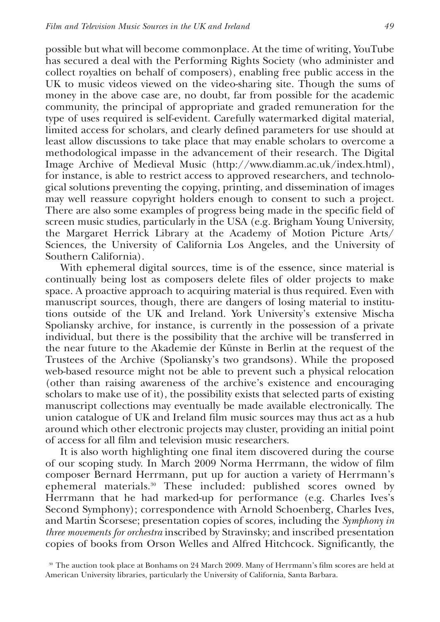possible but what will become commonplace. At the time of writing, YouTube has secured a deal with the Performing Rights Society (who administer and collect royalties on behalf of composers), enabling free public access in the UK to music videos viewed on the video-sharing site. Though the sums of money in the above case are, no doubt, far from possible for the academic community, the principal of appropriate and graded remuneration for the type of uses required is self-evident. Carefully watermarked digital material, limited access for scholars, and clearly defined parameters for use should at least allow discussions to take place that may enable scholars to overcome a methodological impasse in the advancement of their research. The Digital Image Archive of Medieval Music (http://www.diamm.ac.uk/index.html), for instance, is able to restrict access to approved researchers, and technological solutions preventing the copying, printing, and dissemination of images may well reassure copyright holders enough to consent to such a project. There are also some examples of progress being made in the specific field of screen music studies, particularly in the USA (e.g. Brigham Young University, the Margaret Herrick Library at the Academy of Motion Picture Arts/ Sciences, the University of California Los Angeles, and the University of Southern California).

With ephemeral digital sources, time is of the essence, since material is continually being lost as composers delete files of older projects to make space. A proactive approach to acquiring material is thus required. Even with manuscript sources, though, there are dangers of losing material to institutions outside of the UK and Ireland. York University's extensive Mischa Spoliansky archive, for instance, is currently in the possession of a private individual, but there is the possibility that the archive will be transferred in the near future to the Akademie der Künste in Berlin at the request of the Trustees of the Archive (Spoliansky's two grandsons). While the proposed web-based resource might not be able to prevent such a physical relocation (other than raising awareness of the archive's existence and encouraging scholars to make use of it), the possibility exists that selected parts of existing manuscript collections may eventually be made available electronically. The union catalogue of UK and Ireland film music sources may thus act as a hub around which other electronic projects may cluster, providing an initial point of access for all film and television music researchers.

It is also worth highlighting one final item discovered during the course of our scoping study. In March 2009 Norma Herrmann, the widow of film composer Bernard Herrmann, put up for auction a variety of Herrmann's ephemeral materials.<sup>30</sup> These included: published scores owned by Herrmann that he had marked-up for performance (e.g. Charles Ives's Second Symphony); correspondence with Arnold Schoenberg, Charles Ives, and Martin Scorsese; presentation copies of scores, including the *Symphony in three movements for orchestra* inscribed by Stravinsky; and inscribed presentation copies of books from Orson Welles and Alfred Hitchcock. Significantly, the

<sup>30</sup> The auction took place at Bonhams on 24 March 2009. Many of Herrmann's film scores are held at American University libraries, particularly the University of California, Santa Barbara.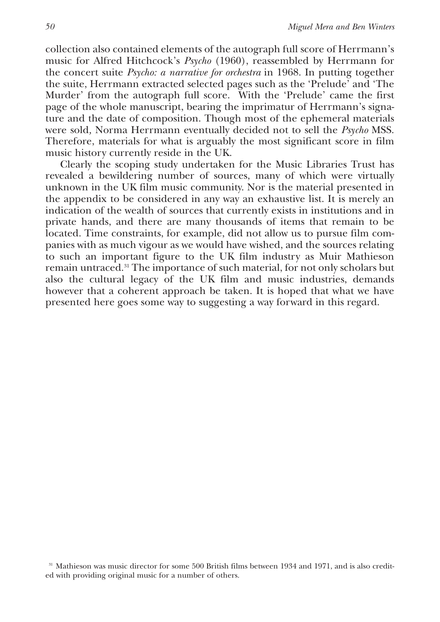collection also contained elements of the autograph full score of Herrmann's music for Alfred Hitchcock's *Psycho* (1960), reassembled by Herrmann for the concert suite *Psycho: a narrative for orchestra* in 1968. In putting together the suite, Herrmann extracted selected pages such as the 'Prelude' and 'The Murder' from the autograph full score. With the 'Prelude' came the first page of the whole manuscript, bearing the imprimatur of Herrmann's signature and the date of composition. Though most of the ephemeral materials were sold*,* Norma Herrmann eventually decided not to sell the *Psycho* MSS. Therefore, materials for what is arguably the most significant score in film music history currently reside in the UK.

Clearly the scoping study undertaken for the Music Libraries Trust has revealed a bewildering number of sources, many of which were virtually unknown in the UK film music community. Nor is the material presented in the appendix to be considered in any way an exhaustive list. It is merely an indication of the wealth of sources that currently exists in institutions and in private hands, and there are many thousands of items that remain to be located. Time constraints, for example, did not allow us to pursue film companies with as much vigour as we would have wished, and the sources relating to such an important figure to the UK film industry as Muir Mathieson remain untraced.<sup>31</sup> The importance of such material, for not only scholars but also the cultural legacy of the UK film and music industries, demands however that a coherent approach be taken. It is hoped that what we have presented here goes some way to suggesting a way forward in this regard.

<sup>31</sup> Mathieson was music director for some 500 British films between 1934 and 1971, and is also credited with providing original music for a number of others.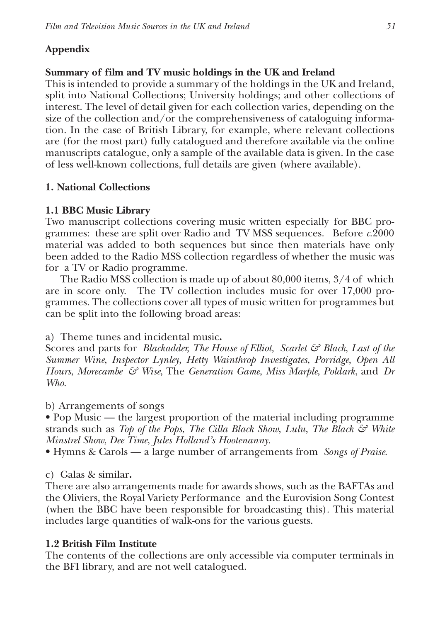## **Appendix**

## **Summary of film and TV music holdings in the UK and Ireland**

This is intended to provide a summary of the holdings in the UK and Ireland, split into National Collections; University holdings; and other collections of interest. The level of detail given for each collection varies, depending on the size of the collection and/or the comprehensiveness of cataloguing information. In the case of British Library, for example, where relevant collections are (for the most part) fully catalogued and therefore available via the online manuscripts catalogue, only a sample of the available data is given. In the case of less well-known collections, full details are given (where available).

## **1. National Collections**

## **1.1 BBC Music Library**

Two manuscript collections covering music written especially for BBC programmes: these are split over Radio and TV MSS sequences. Before *c*.2000 material was added to both sequences but since then materials have only been added to the Radio MSS collection regardless of whether the music was for a TV or Radio programme.

The Radio MSS collection is made up of about 80,000 items, 3/4 of which are in score only. The TV collection includes music for over 17,000 programmes. The collections cover all types of music written for programmes but can be split into the following broad areas:

a) Theme tunes and incidental music**.**

Scores and parts for *Blackadder, The House of Elliot, Scarlet & Black*, *Last of the Summer Wine*, *Inspector Lynley*, *Hetty Wainthrop Investigates*, *Porridge*, *Open All Hours*, *Morecambe & Wise*, The *Generation Game*, *Miss Marple*, *Poldark*, and *Dr Who*.

b) Arrangements of songs

• Pop Music — the largest proportion of the material including programme strands such as *Top of the Pops*, *The Cilla Black Show*, *Lulu*, *The Black & White Minstrel Show*, *Dee Time*, *Jules Holland's Hootenanny*.

• Hymns & Carols — a large number of arrangements from *Songs of Praise*.

## c) Galas & similar**.**

There are also arrangements made for awards shows, such as the BAFTAs and the Oliviers, the Royal Variety Performance and the Eurovision Song Contest (when the BBC have been responsible for broadcasting this). This material includes large quantities of walk-ons for the various guests.

## **1.2 British Film Institute**

The contents of the collections are only accessible via computer terminals in the BFI library, and are not well catalogued.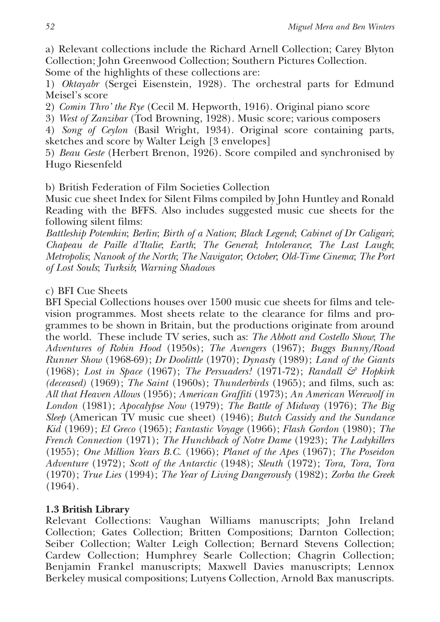a) Relevant collections include the Richard Arnell Collection; Carey Blyton Collection; John Greenwood Collection; Southern Pictures Collection.

Some of the highlights of these collections are:

1) *Oktayabr* (Sergei Eisenstein, 1928). The orchestral parts for Edmund Meisel's score

2) *Comin Thro' the Rye* (Cecil M. Hepworth, 1916). Original piano score

3) *West of Zanzibar* (Tod Browning, 1928). Music score; various composers

4) *Song of Ceylon* (Basil Wright, 1934). Original score containing parts, sketches and score by Walter Leigh [3 envelopes]

5) *Beau Geste* (Herbert Brenon, 1926). Score compiled and synchronised by Hugo Riesenfeld

b) British Federation of Film Societies Collection

Music cue sheet Index for Silent Films compiled by John Huntley and Ronald Reading with the BFFS. Also includes suggested music cue sheets for the following silent films:

*Battleship Potemkin*; *Berlin*; *Birth of a Nation*; *Black Legend*; *Cabinet of Dr Caligari*; *Chapeau de Paille d'Italie*; *Earth*; *The General*; *Intolerance*; *The Last Laugh*; *Metropolis*; *Nanook of the North*; *The Navigator*; *October*; *Old-Time Cinema*; *The Port of Lost Souls*; *Turksib*; *Warning Shadows*

## c) BFI Cue Sheets

BFI Special Collections houses over 1500 music cue sheets for films and television programmes. Most sheets relate to the clearance for films and programmes to be shown in Britain, but the productions originate from around the world. These include TV series, such as: *The Abbott and Costello Show*; *The Adventures of Robin Hood* (1950s); *The Avengers* (1967); *Buggs Bunny/Road Runner Show* (1968-69); *Dr Doolittle* (1970); *Dynasty* (1989); *Land of the Giants* (1968); *Lost in Space* (1967); *The Persuaders!* (1971-72); *Randall & Hopkirk (deceased)* (1969); *The Saint* (1960s); *Thunderbirds* (1965); and films, such as: *All that Heaven Allows* (1956); *American Graffiti* (1973); *An American Werewolf in London* (1981); *Apocalypse Now* (1979); *The Battle of Midway* (1976); *The Big Sleep* (American TV music cue sheet) (1946); *Butch Cassidy and the Sundance Kid* (1969); *El Greco* (1965); *Fantastic Voyage* (1966); *Flash Gordon* (1980); *The French Connection* (1971); *The Hunchback of Notre Dame* (1923); *The Ladykillers* (1955); *One Million Years B.C.* (1966); *Planet of the Apes* (1967); *The Poseidon Adventure* (1972); *Scott of the Antarctic* (1948); *Sleuth* (1972); *Tora, Tora, Tora* (1970); *True Lies* (1994); *The Year of Living Dangerously* (1982); *Zorba the Greek* (1964).

## **1.3 British Library**

Relevant Collections: Vaughan Williams manuscripts; John Ireland Collection; Gates Collection; Britten Compositions; Darnton Collection; Seiber Collection; Walter Leigh Collection; Bernard Stevens Collection; Cardew Collection; Humphrey Searle Collection; Chagrin Collection; Benjamin Frankel manuscripts; Maxwell Davies manuscripts; Lennox Berkeley musical compositions; Lutyens Collection, Arnold Bax manuscripts.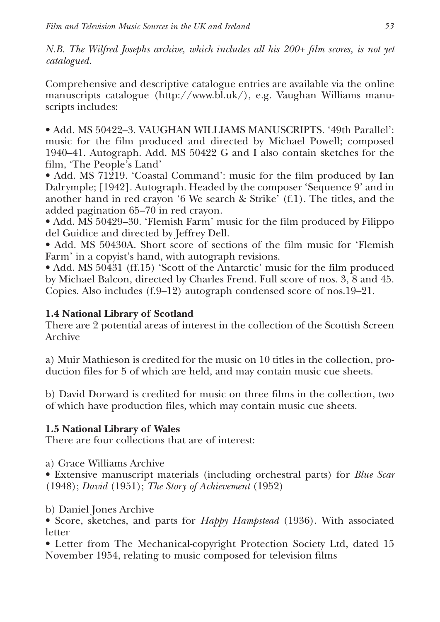*N.B. The Wilfred Josephs archive, which includes all his 200+ film scores, is not yet catalogued.*

Comprehensive and descriptive catalogue entries are available via the online manuscripts catalogue (http://www.bl.uk/), e.g. Vaughan Williams manuscripts includes:

• Add. MS 50422–3. VAUGHAN WILLIAMS MANUSCRIPTS. '49th Parallel': music for the film produced and directed by Michael Powell; composed 1940–41. Autograph. Add. MS 50422 G and I also contain sketches for the film, 'The People's Land'

• Add. MS 71219. 'Coastal Command': music for the film produced by Ian Dalrymple; [1942]. Autograph. Headed by the composer 'Sequence 9' and in another hand in red crayon '6 We search & Strike' (f.1). The titles, and the added pagination 65–70 in red crayon.

• Add. MS 50429–30. 'Flemish Farm' music for the film produced by Filippo del Guidice and directed by Jeffrey Dell.

• Add. MS 50430A. Short score of sections of the film music for 'Flemish Farm' in a copyist's hand, with autograph revisions.

• Add. MS 50431 (ff.15) 'Scott of the Antarctic' music for the film produced by Michael Balcon, directed by Charles Frend. Full score of nos. 3, 8 and 45. Copies. Also includes (f.9–12) autograph condensed score of nos.19–21.

## **1.4 National Library of Scotland**

There are 2 potential areas of interest in the collection of the Scottish Screen Archive

a) Muir Mathieson is credited for the music on 10 titles in the collection, production files for 5 of which are held, and may contain music cue sheets.

b) David Dorward is credited for music on three films in the collection, two of which have production files, which may contain music cue sheets.

## **1.5 National Library of Wales**

There are four collections that are of interest:

a) Grace Williams Archive

• Extensive manuscript materials (including orchestral parts) for *Blue Scar* (1948); *David* (1951); *The Story of Achievement* (1952)

b) Daniel Jones Archive

• Score, sketches, and parts for *Happy Hampstead* (1936). With associated letter

• Letter from The Mechanical-copyright Protection Society Ltd, dated 15 November 1954, relating to music composed for television films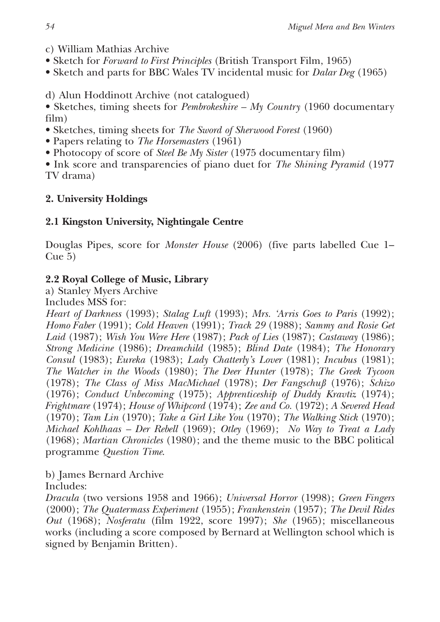- c) William Mathias Archive
- Sketch for *Forward to First Principles* (British Transport Film, 1965)
- Sketch and parts for BBC Wales TV incidental music for *Dalar Deg* (1965)

d) Alun Hoddinott Archive (not catalogued)

• Sketches, timing sheets for *Pembrokeshire – My Country* (1960 documentary film)

- Sketches, timing sheets for *The Sword of Sherwood Forest* (1960)
- Papers relating to *The Horsemasters* (1961)
- Photocopy of score of *Steel Be My Sister* (1975 documentary film)

• Ink score and transparencies of piano duet for *The Shining Pyramid* (1977 TV drama)

## **2. University Holdings**

## **2.1 Kingston University, Nightingale Centre**

Douglas Pipes, score for *Monster House* (2006) (five parts labelled Cue 1– Cue 5)

## **2.2 Royal College of Music, Library**

a) Stanley Myers Archive

Includes MSS for:

*Heart of Darkness* (1993); *Stalag Luft* (1993); *Mrs. 'Arris Goes to Paris* (1992); *Homo Faber* (1991); *Cold Heaven* (1991); *Track 29* (1988); *Sammy and Rosie Get Laid* (1987); *Wish You Were Here* (1987); *Pack of Lies* (1987); *Castaway* (1986); *Strong Medicine* (1986); *Dreamchild* (1985); *Blind Date* (1984); *The Honorary Consul* (1983); *Eureka* (1983); *Lady Chatterly's Lover* (1981); *Incubus* (1981); *The Watcher in the Woods* (1980); *The Deer Hunter* (1978); *The Greek Tycoon* (1978); *The Class of Miss MacMichael* (1978); *Der Fangschuß* (1976); *Schizo* (1976); *Conduct Unbecoming* (1975); *Apprenticeship of Duddy Kravtiz* (1974); *Frightmare* (1974); *House of Whipcord* (1974); *Zee and Co.* (1972); *A Severed Head* (1970); *Tam Lin* (1970); *Take a Girl Like You* (1970); *The Walking Stick* (1970); *Michael Kohlhaas – Der Rebell* (1969); *Otley* (1969); *No Way to Treat a Lady* (1968); *Martian Chronicles* (1980); and the theme music to the BBC political programme *Question Time*.

b) James Bernard Archive

Includes:

*Dracula* (two versions 1958 and 1966); *Universal Horror* (1998); *Green Fingers* (2000); *The Quatermass Experiment* (1955); *Frankenstein* (1957); *The Devil Rides Out* (1968); *Nosferatu* (film 1922, score 1997); *She* (1965); miscellaneous works (including a score composed by Bernard at Wellington school which is signed by Benjamin Britten).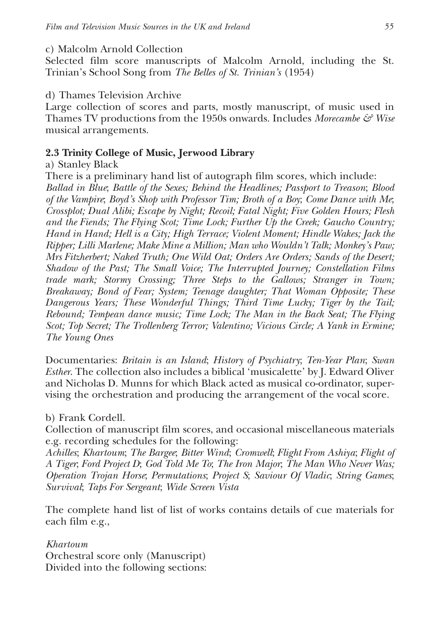#### c) Malcolm Arnold Collection

Selected film score manuscripts of Malcolm Arnold, including the St. Trinian's School Song from *The Belles of St. Trinian's* (1954)

#### d) Thames Television Archive

Large collection of scores and parts, mostly manuscript, of music used in Thames TV productions from the 1950s onwards. Includes *Morecambe & Wise* musical arrangements.

#### **2.3 Trinity College of Music, Jerwood Library**

#### a) Stanley Black

There is a preliminary hand list of autograph film scores, which include: *Ballad in Blue*; *Battle of the Sexes; Behind the Headlines; Passport to Treason*; *Blood of the Vampire*; *Boyd's Shop with Professor Tim; Broth of a Boy*; *Come Dance with Me*; *Crossplot; Dual Alibi; Escape by Night; Recoil; Fatal Night; Five Golden Hours; Flesh and the Fiends; The Flying Scot; Time Lock; Further Up the Creek; Gaucho Country; Hand in Hand; Hell is a City; High Terrace; Violent Moment; Hindle Wakes; Jack the Ripper; Lilli Marlene; Make Mine a Million; Man who Wouldn't Talk; Monkey's Paw; Mrs Fitzherbert; Naked Truth; One Wild Oat; Orders Are Orders; Sands of the Desert; Shadow of the Past; The Small Voice; The Interrupted Journey; Constellation Films trade mark; Stormy Crossing; Three Steps to the Gallows; Stranger in Town; Breakaway; Bond of Fear; System; Teenage daughter; That Woman Opposite; These Dangerous Years; These Wonderful Things; Third Time Lucky; Tiger by the Tail; Rebound; Tempean dance music; Time Lock; The Man in the Back Seat; The Flying Scot; Top Secret; The Trollenberg Terror; Valentino; Vicious Circle; A Yank in Ermine; The Young Ones*

Documentaries: *Britain is an Island*; *History of Psychiatry*; *Ten-Year Plan*; *Swan Esther*. The collection also includes a biblical 'musicalette' by J. Edward Oliver and Nicholas D. Munns for which Black acted as musical co-ordinator, supervising the orchestration and producing the arrangement of the vocal score.

#### b) Frank Cordell.

Collection of manuscript film scores, and occasional miscellaneous materials e.g. recording schedules for the following:

*Achilles*; *Khartoum*; *The Bargee*; *Bitter Wind*; *Cromwell*; *Flight From Ashiya*; *Flight of A Tiger*; *Ford Project D*; *God Told Me To*; *The Iron Major*; *The Man Who Never Was; Operation Trojan Horse*; *Permutations*; *Project S*; *Saviour Of Vladic*; *String Games*; *Survival*; *Taps For Sergeant*; *Wide Screen Vista*

The complete hand list of list of works contains details of cue materials for each film e.g.,

*Khartoum* Orchestral score only (Manuscript) Divided into the following sections: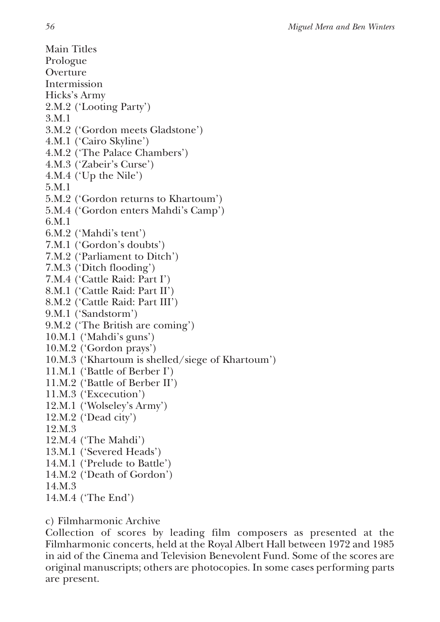Main Titles Prologue Overture Intermission Hicks's Army 2.M.2 ('Looting Party') 3.M.1 3.M.2 ('Gordon meets Gladstone') 4.M.1 ('Cairo Skyline') 4.M.2 ('The Palace Chambers') 4.M.3 ('Zabeir's Curse') 4.M.4 ('Up the Nile') 5.M.1 5.M.2 ('Gordon returns to Khartoum') 5.M.4 ('Gordon enters Mahdi's Camp') 6.M.1 6.M.2 ('Mahdi's tent') 7.M.1 ('Gordon's doubts') 7.M.2 ('Parliament to Ditch') 7.M.3 ('Ditch flooding') 7.M.4 ('Cattle Raid: Part I') 8.M.1 ('Cattle Raid: Part II') 8.M.2 ('Cattle Raid: Part III') 9.M.1 ('Sandstorm') 9.M.2 ('The British are coming') 10.M.1 ('Mahdi's guns') 10.M.2 ('Gordon prays') 10.M.3 ('Khartoum is shelled/siege of Khartoum') 11.M.1 ('Battle of Berber I') 11.M.2 ('Battle of Berber II') 11.M.3 ('Excecution') 12.M.1 ('Wolseley's Army') 12.M.2 ('Dead city') 12.M.3 12.M.4 ('The Mahdi') 13.M.1 ('Severed Heads') 14.M.1 ('Prelude to Battle') 14.M.2 ('Death of Gordon') 14.M.3 14.M.4 ('The End')

c) Filmharmonic Archive

Collection of scores by leading film composers as presented at the Filmharmonic concerts, held at the Royal Albert Hall between 1972 and 1985 in aid of the Cinema and Television Benevolent Fund. Some of the scores are original manuscripts; others are photocopies. In some cases performing parts are present.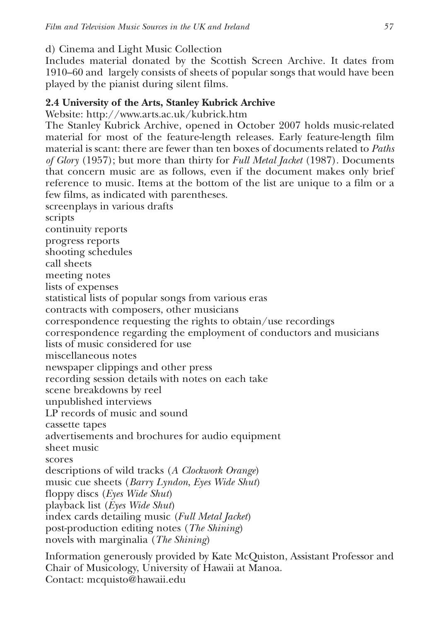d) Cinema and Light Music Collection

Includes material donated by the Scottish Screen Archive. It dates from 1910–60 and largely consists of sheets of popular songs that would have been played by the pianist during silent films.

## **2.4 University of the Arts, Stanley Kubrick Archive**

Website: http://www.arts.ac.uk/kubrick.htm

The Stanley Kubrick Archive, opened in October 2007 holds music-related material for most of the feature-length releases. Early feature-length film material is scant: there are fewer than ten boxes of documents related to *Paths of Glory* (1957); but more than thirty for *Full Metal Jacket* (1987). Documents that concern music are as follows, even if the document makes only brief reference to music. Items at the bottom of the list are unique to a film or a few films, as indicated with parentheses. screenplays in various drafts

scripts

continuity reports

progress reports

shooting schedules

call sheets

meeting notes

lists of expenses

statistical lists of popular songs from various eras

contracts with composers, other musicians

correspondence requesting the rights to obtain/use recordings

correspondence regarding the employment of conductors and musicians

lists of music considered for use

miscellaneous notes

newspaper clippings and other press

recording session details with notes on each take

scene breakdowns by reel

unpublished interviews

LP records of music and sound

cassette tapes

advertisements and brochures for audio equipment

sheet music

scores

descriptions of wild tracks (*A Clockwork Orange*)

music cue sheets (*Barry Lyndon*, *Eyes Wide Shut*)

floppy discs (*Eyes Wide Shut*)

playback list (*Eyes Wide Shut*)

index cards detailing music (*Full Metal Jacket*)

post-production editing notes (*The Shining*)

novels with marginalia (*The Shining*)

Information generously provided by Kate McQuiston, Assistant Professor and Chair of Musicology, University of Hawaii at Manoa. Contact: mcquisto@hawaii.edu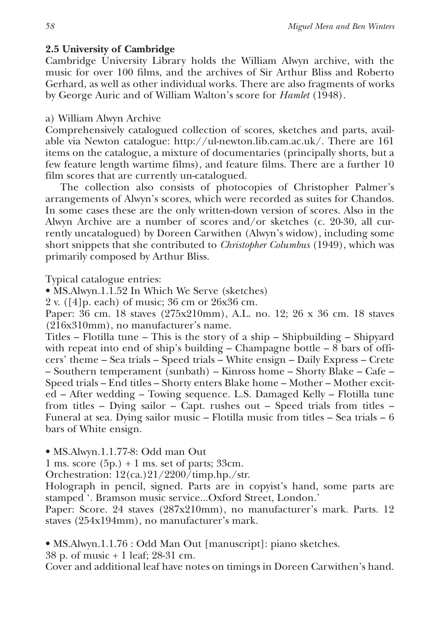#### **2.5 University of Cambridge**

Cambridge University Library holds the William Alwyn archive, with the music for over 100 films, and the archives of Sir Arthur Bliss and Roberto Gerhard, as well as other individual works. There are also fragments of works by George Auric and of William Walton's score for *Hamlet* (1948).

#### a) William Alwyn Archive

Comprehensively catalogued collection of scores, sketches and parts, available via Newton catalogue: http://ul-newton.lib.cam.ac.uk/. There are 161 items on the catalogue, a mixture of documentaries (principally shorts, but a few feature length wartime films), and feature films. There are a further 10 film scores that are currently un-catalogued.

The collection also consists of photocopies of Christopher Palmer's arrangements of Alwyn's scores, which were recorded as suites for Chandos. In some cases these are the only written-down version of scores. Also in the Alwyn Archive are a number of scores and/or sketches (c. 20-30, all currently uncatalogued) by Doreen Carwithen (Alwyn's widow), including some short snippets that she contributed to *Christopher Columbus* (1949), which was primarily composed by Arthur Bliss.

Typical catalogue entries:

• MS.Alwyn.1.1.52 In Which We Serve (sketches)

2 v. ([4]p. each) of music; 36 cm or 26x36 cm.

Paper: 36 cm. 18 staves (275x210mm), A.L. no. 12; 26 x 36 cm. 18 staves (216x310mm), no manufacturer's name.

Titles – Flotilla tune – This is the story of a ship – Shipbuilding – Shipyard with repeat into end of ship's building – Champagne bottle –  $\frac{8}{3}$  bars of officers' theme – Sea trials – Speed trials – White ensign – Daily Express – Crete – Southern temperament (sunbath) – Kinross home – Shorty Blake – Cafe – Speed trials – End titles – Shorty enters Blake home – Mother – Mother excited – After wedding – Towing sequence. L.S. Damaged Kelly – Flotilla tune from titles – Dying sailor – Capt. rushes out – Speed trials from titles – Funeral at sea. Dying sailor music – Flotilla music from titles – Sea trials – 6 bars of White ensign.

• MS.Alwyn.1.1.77-8: Odd man Out

1 ms. score  $(5p.) + 1$  ms. set of parts; 33cm.

Orchestration: 12(ca.)21/2200/timp.hp./str.

Holograph in pencil, signed. Parts are in copyist's hand, some parts are stamped '. Bramson music service...Oxford Street, London.'

Paper: Score. 24 staves (287x210mm), no manufacturer's mark. Parts. 12 staves (254x194mm), no manufacturer's mark.

• MS.Alwyn.1.1.76 : Odd Man Out [manuscript]: piano sketches.

38 p. of music + 1 leaf; 28-31 cm.

Cover and additional leaf have notes on timings in Doreen Carwithen's hand.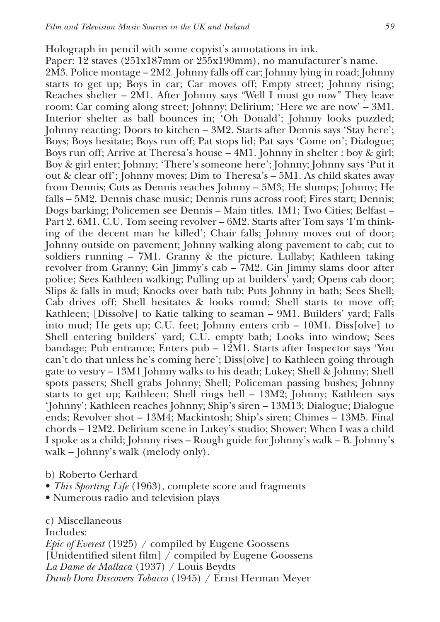Holograph in pencil with some copyist's annotations in ink.

Paper: 12 staves (251x187mm or 255x190mm), no manufacturer's name.

2M3. Police montage – 2M2. Johnny falls off car; Johnny lying in road; Johnny starts to get up; Boys in car; Car moves off; Empty street; Johnny rising; Reaches shelter – 2M1. After Johnny says "Well I must go now" They leave room; Car coming along street; Johnny; Delirium; 'Here we are now' – 3M1. Interior shelter as ball bounces in; 'Oh Donald'; Johnny looks puzzled; Johnny reacting; Doors to kitchen – 3M2. Starts after Dennis says 'Stay here'; Boys; Boys hesitate; Boys run off; Pat stops lid; Pat says 'Come on'; Dialogue; Boys run off; Arrive at Theresa's house – 4M1. Johnny in shelter : boy & girl; Boy & girl enter; Johnny; 'There's someone here'; Johnny; Johnny says 'Put it out & clear off'; Johnny moves; Dim to Theresa's – 5M1. As child skates away from Dennis; Cuts as Dennis reaches Johnny – 5M3; He slumps; Johnny; He falls – 5M2. Dennis chase music; Dennis runs across roof; Fires start; Dennis; Dogs barking; Policemen see Dennis – Main titles. 1M1; Two Cities; Belfast – Part 2. 6M1. C.U. Tom seeing revolver – 6M2. Starts after Tom says 'I'm thinking of the decent man he killed'; Chair falls; Johnny moves out of door; Johnny outside on pavement; Johnny walking along pavement to cab; cut to soldiers running – 7M1. Granny & the picture. Lullaby; Kathleen taking revolver from Granny; Gin Jimmy's cab – 7M2. Gin Jimmy slams door after police; Sees Kathleen walking; Pulling up at builders' yard; Opens cab door; Slips & falls in mud; Knocks over bath tub; Puts Johnny in bath; Sees Shell; Cab drives off; Shell hesitates & looks round; Shell starts to move off; Kathleen; [Dissolve] to Katie talking to seaman – 9M1. Builders' yard; Falls into mud; He gets up; C.U. feet; Johnny enters crib  $-10M1$ . Diss[olve] to Shell entering builders' yard; C.U. empty bath; Looks into window; Sees bandage; Pub entrance; Enters pub – 12M1. Starts after Inspector says 'You can't do that unless he's coming here'; Diss[olve] to Kathleen going through gate to vestry – 13M1 Johnny walks to his death; Lukey; Shell & Johnny; Shell spots passers; Shell grabs Johnny; Shell; Policeman passing bushes; Johnny starts to get up; Kathleen; Shell rings bell – 13M2; Johnny; Kathleen says 'Johnny'; Kathleen reaches Johnny; Ship's siren – 13M13; Dialogue; Dialogue ends; Revolver shot – 13M4; Mackintosh; Ship's siren; Chimes – 13M5. Final chords – 12M2. Delirium scene in Lukey's studio; Shower; When I was a child I spoke as a child; Johnny rises – Rough guide for Johnny's walk – B. Johnny's walk – Johnny's walk (melody only).

#### b) Roberto Gerhard

- *This Sporting Life* (1963), complete score and fragments
- Numerous radio and television plays

#### c) Miscellaneous

Includes:

*Epic of Everest* (1925) / compiled by Eugene Goossens [Unidentified silent film] / compiled by Eugene Goossens *La Dame de Mallaca* (1937) / Louis Beydts *Dumb Dora Discovers Tobacco* (1945) / Ernst Herman Meyer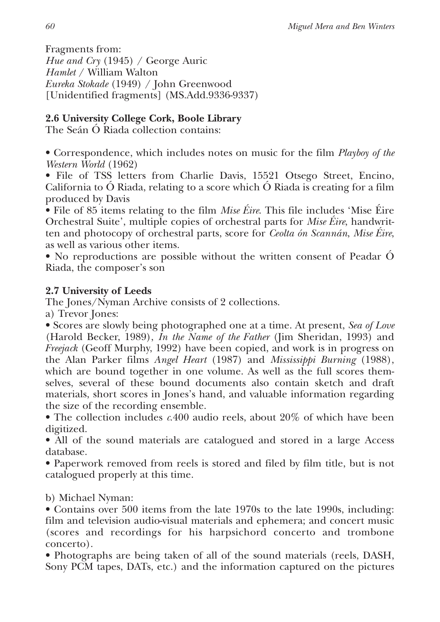Fragments from: *Hue and Cry* (1945) / George Auric *Hamlet* / William Walton *Eureka Stokade* (1949) / John Greenwood [Unidentified fragments] (MS.Add.9336-9337)

## **2.6 University College Cork, Boole Library**

The Seán Ó Riada collection contains:

• Correspondence, which includes notes on music for the film *Playboy of the Western World* (1962)

• File of TSS letters from Charlie Davis, 15521 Otsego Street, Encino, California to Ó Riada, relating to a score which Ó Riada is creating for a film produced by Davis

• File of 85 items relating to the film *Mise Éire*. This file includes 'Mise Éire Orchestral Suite', multiple copies of orchestral parts for *Mise Éire*, handwritten and photocopy of orchestral parts, score for *Ceolta ón Scannán*, *Mise Éire*, as well as various other items.

• No reproductions are possible without the written consent of Peadar Ó Riada, the composer's son

## **2.7 University of Leeds**

The Jones/Nyman Archive consists of 2 collections.

a) Trevor Jones:

• Scores are slowly being photographed one at a time. At present, *Sea of Love* (Harold Becker, 1989), *In the Name of the Father* (Jim Sheridan, 1993) and *Freejack* (Geoff Murphy, 1992) have been copied, and work is in progress on the Alan Parker films *Angel Heart* (1987) and *Mississippi Burning* (1988), which are bound together in one volume. As well as the full scores themselves, several of these bound documents also contain sketch and draft materials, short scores in Jones's hand, and valuable information regarding the size of the recording ensemble.

• The collection includes *c*.400 audio reels, about 20% of which have been digitized.

• All of the sound materials are catalogued and stored in a large Access database.

• Paperwork removed from reels is stored and filed by film title, but is not catalogued properly at this time.

b) Michael Nyman:

• Contains over 500 items from the late 1970s to the late 1990s, including: film and television audio-visual materials and ephemera; and concert music (scores and recordings for his harpsichord concerto and trombone concerto).

• Photographs are being taken of all of the sound materials (reels, DASH, Sony PCM tapes, DATs, etc.) and the information captured on the pictures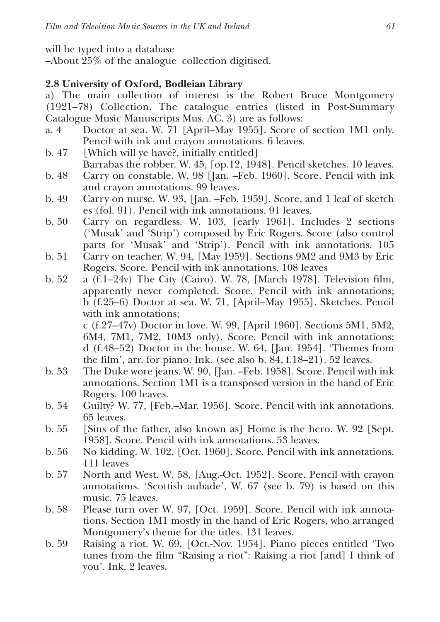will be typed into a database

–About 25% of the analogue collection digitised.

#### **2.8 University of Oxford, Bodleian Library**

a) The main collection of interest is the Robert Bruce Montgomery (1921–78) Collection. The catalogue entries (listed in Post-Summary Catalogue Music Manuscripts Mus. AC. 3) are as follows:

a. 4 Doctor at sea. W. 71 [April–May 1955]. Score of section 1M1 only. Pencil with ink and crayon annotations. 6 leaves.

b. 47 [Which will ye have?, initially entitled]

- Barrabas the robber. W. 45, [op.12, 1948]. Pencil sketches. 10 leaves.
- b. 48 Carry on constable. W. 98 [Jan. –Feb. 1960]. Score. Pencil with ink and crayon annotations. 99 leaves.
- b. 49 Carry on nurse. W. 93, [Jan. –Feb. 1959]. Score, and 1 leaf of sketch es (fol. 91). Pencil with ink annotations. 91 leaves.
- b. 50 Carry on regardless. W. 103, [early 1961]. Includes 2 sections ('Musak' and 'Strip') composed by Eric Rogers. Score (also control parts for 'Musak' and 'Strip'). Pencil with ink annotations. 105
- b. 51 Carry on teacher. W. 94, [May 1959]. Sections 9M2 and 9M3 by Eric Rogers. Score. Pencil with ink annotations. 108 leaves
- b. 52 a (f.1–24v) The City (Cairo). W. 78, [March 1978]. Television film, apparently never completed. Score. Pencil with ink annotations; b (f.25–6) Doctor at sea. W. 71, [April–May 1955]. Sketches. Pencil with ink annotations;

c (f.27–47v) Doctor in love. W. 99, [April 1960]. Sections 5M1, 5M2, 6M4, 7M1, 7M2, 10M3 only). Score. Pencil with ink annotations; d (f.48–52) Doctor in the house. W. 64, [Jan. 1954]. 'Themes from the film', arr. for piano. Ink. (see also b. 84, f.18–21). 52 leaves.

- b. 53 The Duke wore jeans. W. 90, [Jan. –Feb. 1958]. Score. Pencil with ink annotations. Section 1M1 is a transposed version in the hand of Eric Rogers. 100 leaves.
- b. 54 Guilty? W. 77, [Feb.–Mar. 1956]. Score. Pencil with ink annotations. 65 leaves.
- b. 55 [Sins of the father, also known as] Home is the hero. W. 92 [Sept. 1958]. Score. Pencil with ink annotations. 53 leaves.
- b. 56 No kidding. W. 102, [Oct. 1960]. Score. Pencil with ink annotations. 111 leaves
- b. 57 North and West. W. 58, [Aug.-Oct. 1952]. Score. Pencil with crayon annotations. 'Scottish aubade', W. 67 (see b. 79) is based on this music. 75 leaves.
- b. 58 Please turn over W. 97, [Oct. 1959]. Score. Pencil with ink annotations. Section 1M1 mostly in the hand of Eric Rogers, who arranged Montgomery's theme for the titles. 131 leaves.
- b. 59 Raising a riot. W. 69, [Oct.-Nov. 1954]. Piano pieces entitled 'Two tunes from the film "Raising a riot": Raising a riot [and] I think of you'. Ink. 2 leaves.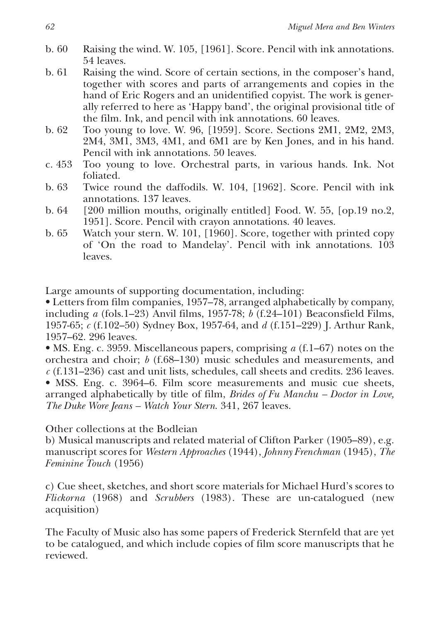- b. 60 Raising the wind. W. 105, [1961]. Score. Pencil with ink annotations. 54 leaves.
- b. 61 Raising the wind. Score of certain sections, in the composer's hand, together with scores and parts of arrangements and copies in the hand of Eric Rogers and an unidentified copyist. The work is generally referred to here as 'Happy band', the original provisional title of the film. Ink, and pencil with ink annotations. 60 leaves.
- b. 62 Too young to love. W. 96, [1959]. Score. Sections 2M1, 2M2, 2M3, 2M4, 3M1, 3M3, 4M1, and 6M1 are by Ken Jones, and in his hand. Pencil with ink annotations. 50 leaves.
- c. 453 Too young to love. Orchestral parts, in various hands. Ink. Not foliated.
- b. 63 Twice round the daffodils. W. 104, [1962]. Score. Pencil with ink annotations. 137 leaves.
- b. 64 [200 million mouths, originally entitled] Food. W. 55, [op.19 no.2, 1951]. Score. Pencil with crayon annotations. 40 leaves.
- b. 65 Watch your stern. W. 101, [1960]. Score, together with printed copy of 'On the road to Mandelay'. Pencil with ink annotations. 103 leaves.

Large amounts of supporting documentation, including:

• Letters from film companies, 1957–78, arranged alphabetically by company, including *a* (fols.1–23) Anvil films, 1957-78; *b* (f.24–101) Beaconsfield Films, 1957-65; *c* (f.102–50) Sydney Box, 1957-64, and *d* (f.151–229) J. Arthur Rank, 1957–62. 296 leaves.

• MS. Eng. c. 3959. Miscellaneous papers, comprising *a* (f.1–67) notes on the orchestra and choir; *b* (f.68–130) music schedules and measurements, and *c* (f.131–236) cast and unit lists, schedules, call sheets and credits. 236 leaves. • MSS. Eng. c. 3964–6. Film score measurements and music cue sheets, arranged alphabetically by title of film, *Brides of Fu Manchu – Doctor in Love, The Duke Wore Jeans – Watch Your Stern*. 341, 267 leaves.

Other collections at the Bodleian

b) Musical manuscripts and related material of Clifton Parker (1905–89), e.g. manuscript scores for *Western Approaches* (1944), *Johnny Frenchman* (1945), *The Feminine Touch* (1956)

c) Cue sheet, sketches, and short score materials for Michael Hurd's scores to *Flickorna* (1968) and *Scrubbers* (1983). These are un-catalogued (new acquisition)

The Faculty of Music also has some papers of Frederick Sternfeld that are yet to be catalogued, and which include copies of film score manuscripts that he reviewed.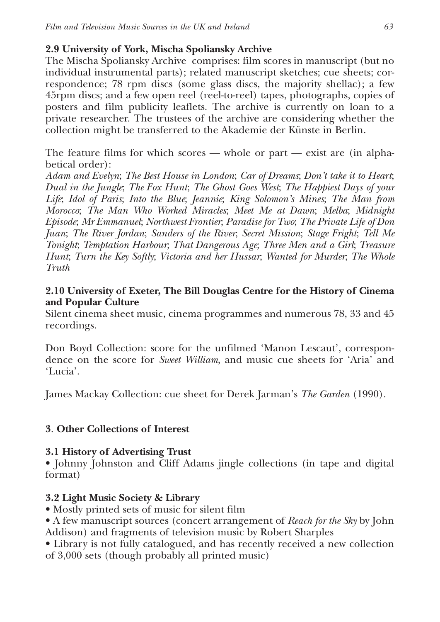## **2.9 University of York, Mischa Spoliansky Archive**

The Mischa Spoliansky Archive comprises: film scores in manuscript (but no individual instrumental parts); related manuscript sketches; cue sheets; correspondence; 78 rpm discs (some glass discs, the majority shellac); a few 45rpm discs; and a few open reel (reel-to-reel) tapes, photographs, copies of posters and film publicity leaflets. The archive is currently on loan to a private researcher. The trustees of the archive are considering whether the collection might be transferred to the Akademie der Künste in Berlin.

The feature films for which scores — whole or part — exist are (in alphabetical order):

*Adam and Evelyn*; *The Best House in London*; *Car of Dreams*; *Don't take it to Heart*; *Dual in the Jungle*; *The Fox Hunt*; *The Ghost Goes West*; *The Happiest Days of your Life*; *Idol of Paris*; *Into the Blue*; *Jeannie*; *King Solomon's Mines*; *The Man from Morocco*; *The Man Who Worked Miracles*; *Meet Me at Dawn*; *Melba*; *Midnight Episode*; *Mr Emmanuel*; *Northwest Frontier*; *Paradise for Two*; *The Private Life of Don Juan*; *The River Jordan*; *Sanders of the River*; *Secret Mission*; *Stage Fright*; *Tell Me Tonight*; *Temptation Harbour*; *That Dangerous Age*; *Three Men and a Girl*; *Treasure Hunt*; *Turn the Key Softly*; *Victoria and her Hussar*; *Wanted for Murder*; *The Whole Truth*

## **2.10 University of Exeter, The Bill Douglas Centre for the History of Cinema and Popular Culture**

Silent cinema sheet music, cinema programmes and numerous 78, 33 and 45 recordings.

Don Boyd Collection: score for the unfilmed 'Manon Lescaut', correspondence on the score for *Sweet William*, and music cue sheets for 'Aria' and 'Lucia'.

James Mackay Collection: cue sheet for Derek Jarman's *The Garden* (1990).

## **3**. **Other Collections of Interest**

## **3.1 History of Advertising Trust**

• Johnny Johnston and Cliff Adams jingle collections (in tape and digital format)

## **3.2 Light Music Society & Library**

- Mostly printed sets of music for silent film
- A few manuscript sources (concert arrangement of *Reach for the Sky* by John Addison) and fragments of television music by Robert Sharples
- Library is not fully catalogued, and has recently received a new collection of 3,000 sets (though probably all printed music)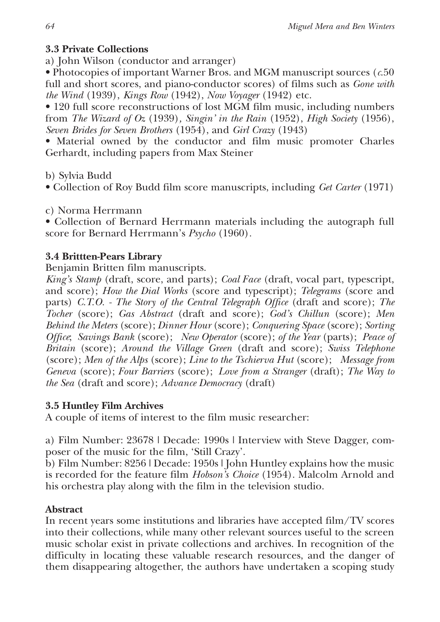## **3.3 Private Collections**

a) John Wilson (conductor and arranger)

• Photocopies of important Warner Bros. and MGM manuscript sources (*c*.50 full and short scores, and piano-conductor scores) of films such as *Gone with the Wind* (1939), *Kings Row* (1942), *Now Voyager* (1942) etc.

• 120 full score reconstructions of lost MGM film music, including numbers from *The Wizard of Oz* (1939)*, Singin' in the Rain* (1952), *High Society* (1956), *Seven Brides for Seven Brothers* (1954), and *Girl Crazy* (1943)

• Material owned by the conductor and film music promoter Charles Gerhardt, including papers from Max Steiner

b) Sylvia Budd

• Collection of Roy Budd film score manuscripts, including *Get Carter* (1971)

c) Norma Herrmann

• Collection of Bernard Herrmann materials including the autograph full score for Bernard Herrmann's *Psycho* (1960)*.*

## **3.4 Brittten-Pears Library**

Benjamin Britten film manuscripts.

*King's Stamp* (draft, score, and parts); *Coal Face* (draft, vocal part, typescript, and score); *How the Dial Works* (score and typescript); *Telegrams* (score and parts) *C.T.O. - The Story of the Central Telegraph Office* (draft and score); *The Tocher* (score); *Gas Abstract* (draft and score); *God's Chillun* (score); *Men Behind the Meters* (score); *Dinner Hour* (score); *Conquering Space* (score); *Sorting Office*; *Savings Bank* (score); *New Operator* (score); *of the Year* (parts); *Peace of Britain* (score); *Around the Village Green* (draft and score); *Swiss Telephone* (score); *Men of the Alps* (score); *Line to the Tschierva Hut* (score); *Message from Geneva* (score); *Four Barriers* (score); *Love from a Stranger* (draft); *The Way to the Sea* (draft and score); *Advance Democracy* (draft)

## **3.5 Huntley Film Archives**

A couple of items of interest to the film music researcher:

a) Film Number: 23678 | Decade: 1990s | Interview with Steve Dagger, composer of the music for the film, 'Still Crazy'.

b) Film Number: 8256 | Decade: 1950s | John Huntley explains how the music is recorded for the feature film *Hobson's Choice* (1954). Malcolm Arnold and his orchestra play along with the film in the television studio.

## **Abstract**

In recent years some institutions and libraries have accepted film/TV scores into their collections, while many other relevant sources useful to the screen music scholar exist in private collections and archives. In recognition of the difficulty in locating these valuable research resources, and the danger of them disappearing altogether, the authors have undertaken a scoping study